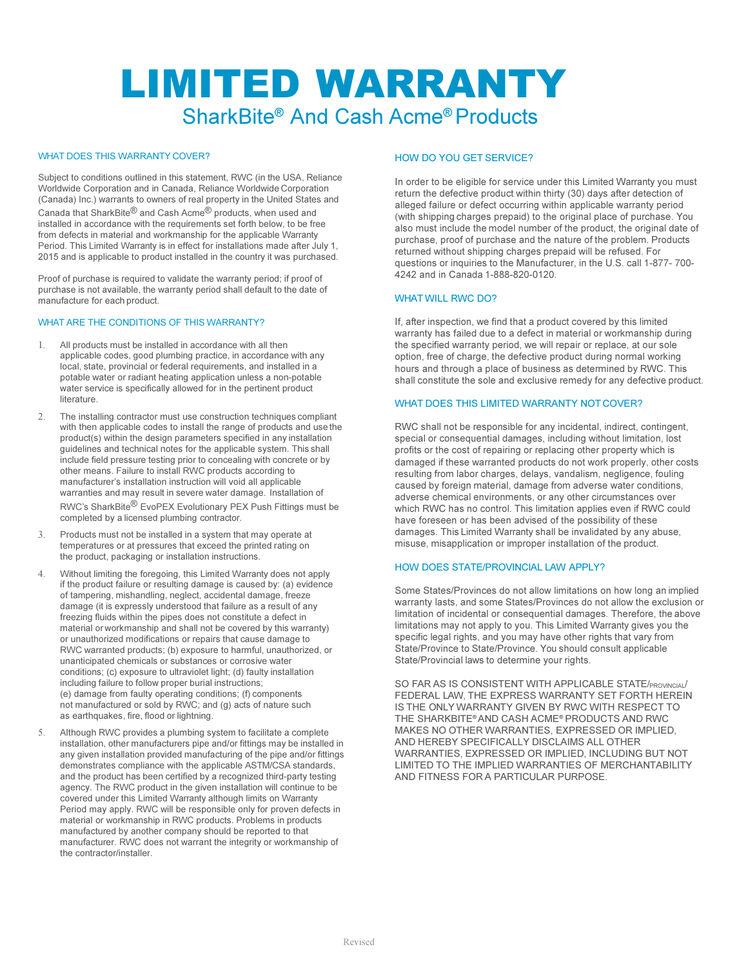# LIMITED WARRANTY SharkBite® And Cash Acme® Products

# WHAT DOES THIS WARRANTY COVER?

Subject to conditions outlined in this statement, RWC (in the USA, Reliance Worldwide Corporation and in Canada, Reliance Worldwide Corporation (Canada) Inc.) warrants to owners of real property in the United States and Canada that SharkBite® and Cash Acme® products, when used and installed in accordance with the requirements set forth below, to be free from defects in material and workmanship for the applicable Warranty Period. This Limited Warranty is in effect for installations made after July 1, 2015 and is applicable to product installed in the country it was purchased.

Proof of purchase is required to validate the warranty period; if proof of purchase is not available, the warranty period shall default to the date of manufacture for each product.

#### WHAT ARE THE CONDITIONS OF THIS WARRANTY?

- All products must be installed in accordance with all then applicable codes, good plumbing practice, in accordance with any local, state, provincial or federal requirements, and installed in a potable water or radiant heating application unless a non-potable water service is specifically allowed for in the pertinent product literature.
- 2. The installing contractor must use construction techniques compliant with then applicable codes to install the range of products and use the product(s) within the design parameters specified in any installation guidelines and technical notes for the applicable system. This shall include field pressure testing prior to concealing with concrete or by other means. Failure to install RWC products according to manufacturer's installation instruction will void all applicable warranties and may result in severe water damage. Installation of RWC's SharkBite® EvoPEX Evolutionary PEX Push Fittings must be completed by a licensed plumbing contractor.
- 3. Products must not be installed in a system that may operate at temperatures or at pressures that exceed the printed rating on the product, packaging or installation instructions.
- 4. Without limiting the foregoing, this Limited Warranty does not apply if the product failure or resulting damage is caused by: (a) evidence of tampering, mishandling, neglect, accidental damage, freeze damage (it is expressly understood that failure as a result of any freezing fluids within the pipes does not constitute a defect in material or workmanship and shall not be covered by this warranty) or unauthorized modifications or repairs that cause damage to RWC warranted products; (b) exposure to harmful, unauthorized, or unanticipated chemicals or substances or corrosive water conditions; (c) exposure to ultraviolet light; (d) faulty installation including failure to follow proper burial instructions; (e) damage from faulty operating conditions; (f) components not manufactured or sold by RWC; and (g) acts of nature such as earthquakes, fire, flood or lightning.
- 5. Although RWC provides a plumbing system to facilitate a complete installation, other manufacturers pipe and/or fittings may be installed in any given installation provided manufacturing of the pipe and/or fittings demonstrates compliance with the applicable ASTM/CSA standards, and the product has been certified by a recognized third-party testing agency. The RWC product in the given installation will continue to be covered under this Limited Warranty although limits on Warranty Period may apply. RWC will be responsible only for proven defects in material or workmanship in RWC products. Problems in products manufactured by another company should be reported to that manufacturer. RWC does not warrant the integrity or workmanship of the contractor/installer.

## HOW DO YOU GET SERVICE?

In order to be eligible for service under this Limited Warranty you must return the defective product within thirty (30) days after detection of alleged failure or defect occurring within applicable warranty period (with shipping charges prepaid) to the original place of purchase. You also must include the model number of the product, the original date of purchase, proof of purchase and the nature of the problem. Products returned without shipping charges prepaid will be refused. For questions or inquiries to the Manufacturer, in the U.S. call 1-877- 700- 4242 and in Canada 1-888-820-0120.

#### WHAT WILL RWC DO?

If, after inspection, we find that a product covered by this limited warranty has failed due to a defect in material or workmanship during the specified warranty period, we will repair or replace, at our sole option, free of charge, the defective product during normal working hours and through a place of business as determined by RWC. This shall constitute the sole and exclusive remedy for any defective product.

## WHAT DOES THIS LIMITED WARRANTY NOT COVER?

RWC shall not be responsible for any incidental, indirect, contingent, special or consequential damages, including without limitation, lost profits or the cost of repairing or replacing other property which is damaged if these warranted products do not work properly, other costs resulting from labor charges, delays, vandalism, negligence, fouling caused by foreign material, damage from adverse water conditions, adverse chemical environments, or any other circumstances over which RWC has no control. This limitation applies even if RWC could have foreseen or has been advised of the possibility of these damages. This Limited Warranty shall be invalidated by any abuse, misuse, misapplication or improper installation of the product.

#### HOW DOES STATE/PROVINCIAL LAW APPLY?

Some States/Provinces do not allow limitations on how long an implied warranty lasts, and some States/Provinces do not allow the exclusion or limitation of incidental or consequential damages. Therefore, the above limitations may not apply to you. This Limited Warranty gives you the specific legal rights, and you may have other rights that vary from State/Province to State/Province. You should consult applicable State/Provincial laws to determine your rights.

SO FAR AS IS CONSISTENT WITH APPLICABLE STATE/PROVINCIAL/ FEDERAL LAW, THE EXPRESS WARRANTY SET FORTH HEREIN IS THE ONLY WARRANTY GIVEN BY RWC WITH RESPECT TO THE SHARKBITE® AND CASH ACME® PRODUCTS AND RWC MAKES NO OTHER WARRANTIES, EXPRESSED OR IMPLIED, AND HEREBY SPECIFICALLY DISCLAIMS ALL OTHER WARRANTIES, EXPRESSED OR IMPLIED, INCLUDING BUT NOT LIMITED TO THE IMPLIED WARRANTIES OF MERCHANTABILITY AND FITNESS FOR A PARTICULAR PURPOSE.